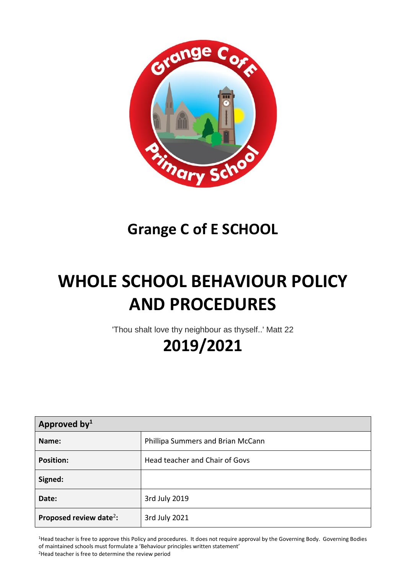

## **Grange C of E SCHOOL**

# **WHOLE SCHOOL BEHAVIOUR POLICY AND PROCEDURES**

'Thou shalt love thy neighbour as thyself..' Matt 22

# **2019/2021**

| Approved by $1$                     |                                   |  |
|-------------------------------------|-----------------------------------|--|
| Name:                               | Phillipa Summers and Brian McCann |  |
| <b>Position:</b>                    | Head teacher and Chair of Govs    |  |
| Signed:                             |                                   |  |
| Date:                               | 3rd July 2019                     |  |
| Proposed review date <sup>2</sup> : | 3rd July 2021                     |  |

<sup>1</sup>Head teacher is free to approve this Policy and procedures. It does not require approval by the Governing Body. Governing Bodies of maintained schools must formulate a 'Behaviour principles written statement' <sup>2</sup>Head teacher is free to determine the review period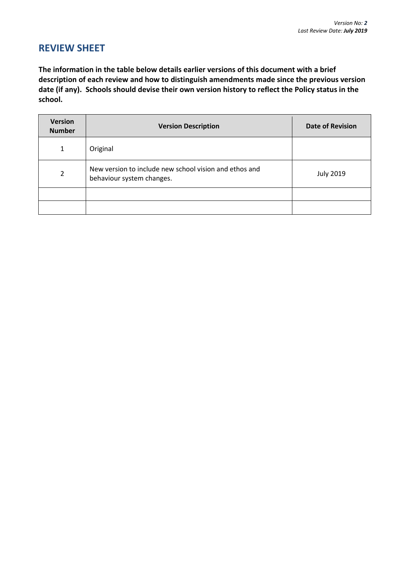## **REVIEW SHEET**

**The information in the table below details earlier versions of this document with a brief description of each review and how to distinguish amendments made since the previous version date (if any). Schools should devise their own version history to reflect the Policy status in the school.**

| <b>Version</b><br><b>Number</b> | <b>Version Description</b>                                                          | <b>Date of Revision</b> |
|---------------------------------|-------------------------------------------------------------------------------------|-------------------------|
| 1                               | Original                                                                            |                         |
| $\mathfrak{p}$                  | New version to include new school vision and ethos and<br>behaviour system changes. | <b>July 2019</b>        |
|                                 |                                                                                     |                         |
|                                 |                                                                                     |                         |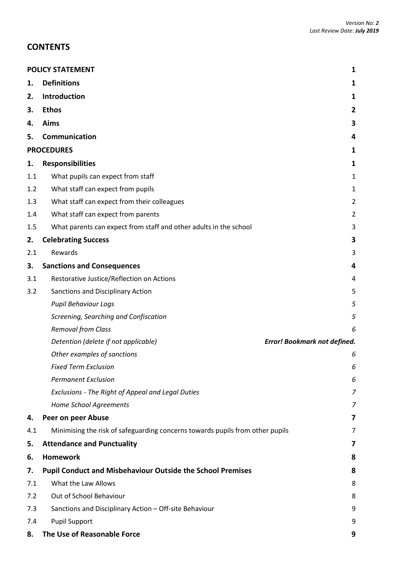## **CONTENTS**

|     | <b>POLICY STATEMENT</b><br>1                                                  |                |  |  |
|-----|-------------------------------------------------------------------------------|----------------|--|--|
| 1.  | <b>Definitions</b>                                                            | 1              |  |  |
| 2.  | Introduction                                                                  | 1              |  |  |
| 3.  | <b>Ethos</b>                                                                  | 2              |  |  |
| 4.  | Aims                                                                          | 3              |  |  |
| 5.  | Communication                                                                 | 4              |  |  |
|     | <b>PROCEDURES</b>                                                             | 1              |  |  |
| 1.  | <b>Responsibilities</b>                                                       | 1              |  |  |
| 1.1 | What pupils can expect from staff                                             | $\mathbf{1}$   |  |  |
| 1.2 | What staff can expect from pupils                                             | $\mathbf{1}$   |  |  |
| 1.3 | What staff can expect from their colleagues                                   | $\overline{2}$ |  |  |
| 1.4 | What staff can expect from parents                                            | $\overline{2}$ |  |  |
| 1.5 | What parents can expect from staff and other adults in the school             | 3              |  |  |
| 2.  | <b>Celebrating Success</b>                                                    | 3              |  |  |
| 2.1 | Rewards                                                                       | 3              |  |  |
| 3.  | <b>Sanctions and Consequences</b>                                             | 4              |  |  |
| 3.1 | Restorative Justice/Reflection on Actions                                     | 4              |  |  |
| 3.2 | Sanctions and Disciplinary Action                                             | 5              |  |  |
|     | <b>Pupil Behaviour Logs</b>                                                   | 5              |  |  |
|     | Screening, Searching and Confiscation                                         | 5              |  |  |
|     | <b>Removal from Class</b>                                                     | 6              |  |  |
|     | Detention (delete if not applicable)<br>Error! Bookmark not defined.          |                |  |  |
|     | Other examples of sanctions                                                   | 6              |  |  |
|     | <b>Fixed Term Exclusion</b>                                                   | 6              |  |  |
|     | <b>Permanent Exclusion</b>                                                    | 6              |  |  |
|     | Exclusions - The Right of Appeal and Legal Duties                             | 7              |  |  |
|     | Home School Agreements                                                        | 7              |  |  |
| 4.  | Peer on peer Abuse                                                            | 7              |  |  |
| 4.1 | Minimising the risk of safeguarding concerns towards pupils from other pupils | 7              |  |  |
| 5.  | <b>Attendance and Punctuality</b>                                             | 7              |  |  |
| 6.  | <b>Homework</b>                                                               | 8              |  |  |
| 7.  | <b>Pupil Conduct and Misbehaviour Outside the School Premises</b>             | 8              |  |  |
| 7.1 | What the Law Allows                                                           | 8              |  |  |
| 7.2 | Out of School Behaviour                                                       | 8              |  |  |
| 7.3 | Sanctions and Disciplinary Action - Off-site Behaviour                        | 9              |  |  |
| 7.4 | <b>Pupil Support</b>                                                          | 9              |  |  |
| 8.  | The Use of Reasonable Force                                                   | 9              |  |  |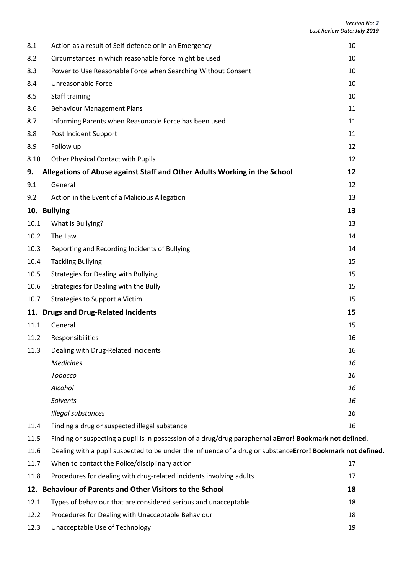| 8.1  | Action as a result of Self-defence or in an Emergency                                                        | 10 |  |
|------|--------------------------------------------------------------------------------------------------------------|----|--|
| 8.2  | Circumstances in which reasonable force might be used                                                        | 10 |  |
| 8.3  | Power to Use Reasonable Force when Searching Without Consent                                                 | 10 |  |
| 8.4  | Unreasonable Force                                                                                           | 10 |  |
| 8.5  | Staff training                                                                                               | 10 |  |
| 8.6  | <b>Behaviour Management Plans</b>                                                                            | 11 |  |
| 8.7  | Informing Parents when Reasonable Force has been used                                                        | 11 |  |
| 8.8  | Post Incident Support                                                                                        | 11 |  |
| 8.9  | Follow up                                                                                                    | 12 |  |
| 8.10 | Other Physical Contact with Pupils                                                                           | 12 |  |
| 9.   | Allegations of Abuse against Staff and Other Adults Working in the School                                    | 12 |  |
| 9.1  | General                                                                                                      | 12 |  |
| 9.2  | Action in the Event of a Malicious Allegation                                                                | 13 |  |
|      | 10. Bullying                                                                                                 | 13 |  |
| 10.1 | What is Bullying?                                                                                            | 13 |  |
| 10.2 | The Law                                                                                                      | 14 |  |
| 10.3 | Reporting and Recording Incidents of Bullying                                                                | 14 |  |
| 10.4 | <b>Tackling Bullying</b>                                                                                     | 15 |  |
| 10.5 | <b>Strategies for Dealing with Bullying</b>                                                                  | 15 |  |
| 10.6 | Strategies for Dealing with the Bully                                                                        | 15 |  |
| 10.7 | Strategies to Support a Victim                                                                               | 15 |  |
|      | 11. Drugs and Drug-Related Incidents                                                                         | 15 |  |
| 11.1 | General                                                                                                      | 15 |  |
| 11.2 | Responsibilities                                                                                             | 16 |  |
| 11.3 | Dealing with Drug-Related Incidents                                                                          | 16 |  |
|      | <b>Medicines</b>                                                                                             | 16 |  |
|      | <b>Tobacco</b>                                                                                               | 16 |  |
|      | Alcohol                                                                                                      | 16 |  |
|      | Solvents                                                                                                     | 16 |  |
|      | Illegal substances                                                                                           | 16 |  |
| 11.4 | Finding a drug or suspected illegal substance                                                                | 16 |  |
| 11.5 | Finding or suspecting a pupil is in possession of a drug/drug paraphernaliaError! Bookmark not defined.      |    |  |
| 11.6 | Dealing with a pupil suspected to be under the influence of a drug or substance Error! Bookmark not defined. |    |  |
| 11.7 | When to contact the Police/disciplinary action                                                               | 17 |  |
| 11.8 | Procedures for dealing with drug-related incidents involving adults                                          | 17 |  |
|      | 12. Behaviour of Parents and Other Visitors to the School                                                    | 18 |  |

12.1 Types of [behaviour that are considered serious and unacceptable](#page-25-1) 18 12.2 [Procedures for Dealing with Unacceptable Behaviour](#page-25-2) 18 and 18 12.3 [Unacceptable Use of Technology](#page-26-0) 19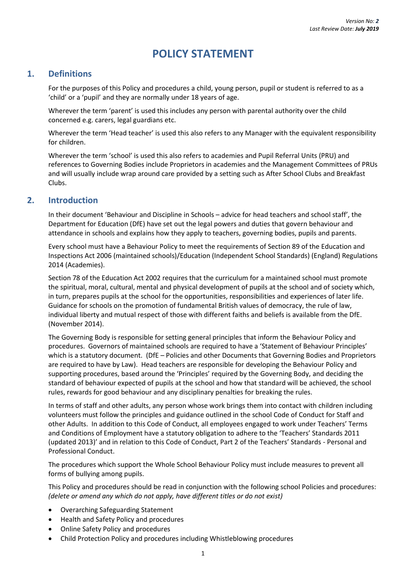## **POLICY STATEMENT**

#### <span id="page-4-1"></span><span id="page-4-0"></span>**1. Definitions**

For the purposes of this Policy and procedures a child, young person, pupil or student is referred to as a 'child' or a 'pupil' and they are normally under 18 years of age.

Wherever the term 'parent' is used this includes any person with parental authority over the child concerned e.g. carers, legal guardians etc.

Wherever the term 'Head teacher' is used this also refers to any Manager with the equivalent responsibility for children.

Wherever the term 'school' is used this also refers to academies and Pupil Referral Units (PRU) and references to Governing Bodies include Proprietors in academies and the Management Committees of PRUs and will usually include wrap around care provided by a setting such as After School Clubs and Breakfast Clubs.

#### <span id="page-4-2"></span>**2. Introduction**

In their document 'Behaviour and Discipline in Schools – advice for head teachers and school staff', the Department for Education (DfE) have set out the legal powers and duties that govern behaviour and attendance in schools and explains how they apply to teachers, governing bodies, pupils and parents.

Every school must have a Behaviour Policy to meet the requirements of Section 89 of the Education and Inspections Act 2006 (maintained schools)/Education (Independent School Standards) (England) Regulations 2014 (Academies).

Section 78 of the Education Act 2002 requires that the curriculum for a maintained school must promote the spiritual, moral, cultural, mental and physical development of pupils at the school and of society which, in turn, prepares pupils at the school for the opportunities, responsibilities and experiences of later life. Guidance for schools on the promotion of fundamental British values of democracy, the rule of law, individual liberty and mutual respect of those with different faiths and beliefs is available from the DfE. (November 2014).

The Governing Body is responsible for setting general principles that inform the Behaviour Policy and procedures. Governors of maintained schools are required to have a 'Statement of Behaviour Principles' which is a statutory document. (DfE – Policies and other Documents that Governing Bodies and Proprietors are required to have by Law). Head teachers are responsible for developing the Behaviour Policy and supporting procedures, based around the 'Principles' required by the Governing Body, and deciding the standard of behaviour expected of pupils at the school and how that standard will be achieved, the school rules, rewards for good behaviour and any disciplinary penalties for breaking the rules.

In terms of staff and other adults, any person whose work brings them into contact with children including volunteers must follow the principles and guidance outlined in the school Code of Conduct for Staff and other Adults. In addition to this Code of Conduct, all employees engaged to work under Teachers' Terms and Conditions of Employment have a statutory obligation to adhere to the 'Teachers' Standards 2011 (updated 2013)' and in relation to this Code of Conduct, Part 2 of the Teachers' Standards - Personal and Professional Conduct.

The procedures which support the Whole School Behaviour Policy must include measures to prevent all forms of bullying among pupils.

This Policy and procedures should be read in conjunction with the following school Policies and procedures: *(delete or amend any which do not apply, have different titles or do not exist)*

- Overarching Safeguarding Statement
- Health and Safety Policy and procedures
- Online Safety Policy and procedures
- Child Protection Policy and procedures including Whistleblowing procedures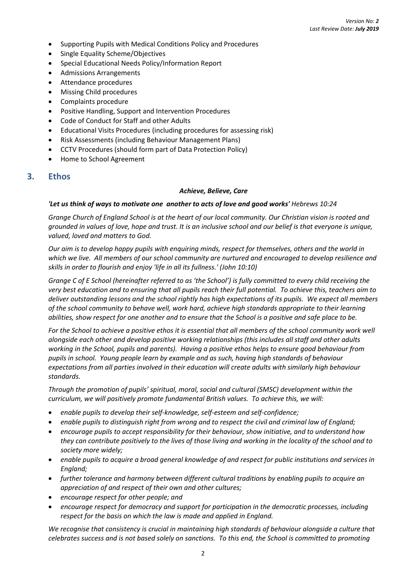- Supporting Pupils with Medical Conditions Policy and Procedures
- Single Equality Scheme/Objectives
- Special Educational Needs Policy/Information Report
- Admissions Arrangements
- Attendance procedures
- Missing Child procedures
- Complaints procedure
- Positive Handling, Support and Intervention Procedures
- Code of Conduct for Staff and other Adults
- Educational Visits Procedures (including procedures for assessing risk)
- Risk Assessments (including Behaviour Management Plans)
- CCTV Procedures (should form part of Data Protection Policy)
- Home to School Agreement

#### <span id="page-5-0"></span>**3. Ethos**

#### *Achieve, Believe, Care*

#### 'Let us think of ways to motivate one another to acts of love and good works' Hebrews 10:24

*Grange Church of England School is at the heart of our local community. Our Christian vision is rooted and grounded in values of love, hope and trust. It is an inclusive school and our belief is that everyone is unique, valued, loved and matters to God.*

*Our aim is to develop happy pupils with enquiring minds, respect for themselves, others and the world in which we live. All members of our school community are nurtured and encouraged to develop resilience and skills in order to flourish and enjoy 'life in all its fullness.' (John 10:10)*

*Grange C of E School (hereinafter referred to as 'the School') is fully committed to every child receiving the very best education and to ensuring that all pupils reach their full potential. To achieve this, teachers aim to deliver outstanding lessons and the school rightly has high expectations of its pupils. We expect all members of the school community to behave well, work hard, achieve high standards appropriate to their learning abilities, show respect for one another and to ensure that the School is a positive and safe place to be.*

For the School to achieve a positive ethos it is essential that all members of the school community work well *alongside each other and develop positive working relationships (this includes all staff and other adults working in the School, pupils and parents). Having a positive ethos helps to ensure good behaviour from pupils in school. Young people learn by example and as such, having high standards of behaviour expectations from all parties involved in their education will create adults with similarly high behaviour standards.*

*Through the promotion of pupils' spiritual, moral, social and cultural (SMSC) development within the curriculum, we will positively promote fundamental British values. To achieve this, we will:*

- *enable pupils to develop their self-knowledge, self-esteem and self-confidence;*
- *enable pupils to distinguish right from wrong and to respect the civil and criminal law of England;*
- *encourage pupils to accept responsibility for their behaviour, show initiative, and to understand how they can contribute positively to the lives of those living and working in the locality of the school and to society more widely;*
- *enable pupils to acquire a broad general knowledge of and respect for public institutions and services in England;*
- *further tolerance and harmony between different cultural traditions by enabling pupils to acquire an appreciation of and respect of their own and other cultures;*
- *encourage respect for other people; and*
- *encourage respect for democracy and support for participation in the democratic processes, including respect for the basis on which the law is made and applied in England.*

*We recognise that consistency is crucial in maintaining high standards of behaviour alongside a culture that celebrates success and is not based solely on sanctions. To this end, the School is committed to promoting*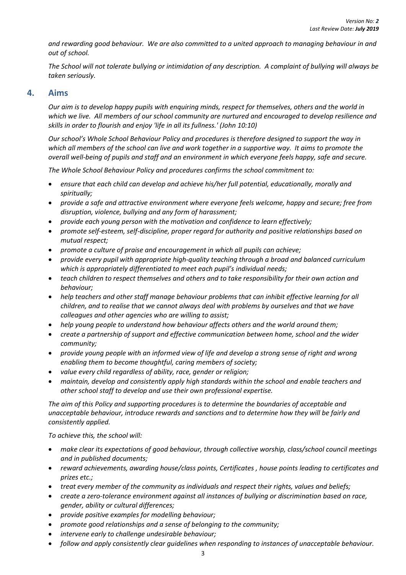*and rewarding good behaviour. We are also committed to a united approach to managing behaviour in and out of school.*

*The School will not tolerate bullying or intimidation of any description. A complaint of bullying will always be taken seriously.*

#### <span id="page-6-0"></span>**4. Aims**

*Our aim is to develop happy pupils with enquiring minds, respect for themselves, others and the world in which we live. All members of our school community are nurtured and encouraged to develop resilience and skills in order to flourish and enjoy 'life in all its fullness.' (John 10:10)*

*Our school's Whole School Behaviour Policy and procedures is therefore designed to support the way in which all members of the school can live and work together in a supportive way. It aims to promote the overall well-being of pupils and staff and an environment in which everyone feels happy, safe and secure.*

*The Whole School Behaviour Policy and procedures confirms the school commitment to:*

- *ensure that each child can develop and achieve his/her full potential, educationally, morally and spiritually;*
- *provide a safe and attractive environment where everyone feels welcome, happy and secure; free from disruption, violence, bullying and any form of harassment;*
- *provide each young person with the motivation and confidence to learn effectively;*
- *promote self-esteem, self-discipline, proper regard for authority and positive relationships based on mutual respect;*
- *promote a culture of praise and encouragement in which all pupils can achieve;*
- *provide every pupil with appropriate high-quality teaching through a broad and balanced curriculum* which is appropriately differentiated to meet each pupil's individual needs;
- *teach children to respect themselves and others and to take responsibility for their own action and behaviour;*
- *help teachers and other staff manage behaviour problems that can inhibit effective learning for all children, and to realise that we cannot always deal with problems by ourselves and that we have colleagues and other agencies who are willing to assist;*
- *help young people to understand how behaviour affects others and the world around them;*
- *create a partnership of support and effective communication between home, school and the wider community;*
- *provide young people with an informed view of life and develop a strong sense of right and wrong enabling them to become thoughtful, caring members of society;*
- *value every child regardless of ability, race, gender or religion;*
- *maintain, develop and consistently apply high standards within the school and enable teachers and other school staff to develop and use their own professional expertise.*

*The aim of this Policy and supporting procedures is to determine the boundaries of acceptable and unacceptable behaviour, introduce rewards and sanctions and to determine how they will be fairly and consistently applied.*

*To achieve this, the school will:*

- *make clear its expectations of good behaviour, through collective worship, class/school council meetings and in published documents;*
- *reward achievements, awarding house/class points, Certificates , house points leading to certificates and prizes etc.;*
- *treat every member of the community as individuals and respect their rights, values and beliefs;*
- *create a zero-tolerance environment against all instances of bullying or discrimination based on race, gender, ability or cultural differences;*
- *provide positive examples for modelling behaviour;*
- *promote good relationships and a sense of belonging to the community;*
- *intervene early to challenge undesirable behaviour;*
- *follow and apply consistently clear guidelines when responding to instances of unacceptable behaviour.*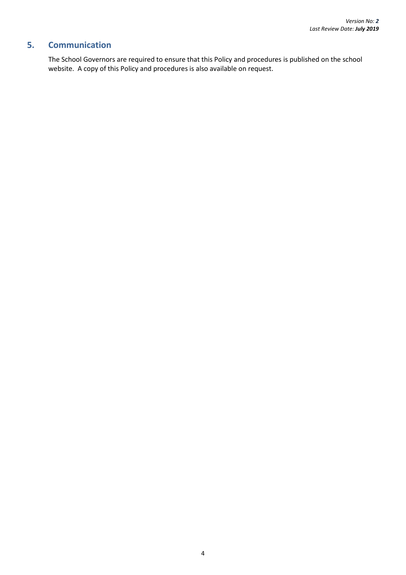## <span id="page-7-0"></span>**5. Communication**

The School Governors are required to ensure that this Policy and procedures is published on the school website. A copy of this Policy and procedures is also available on request.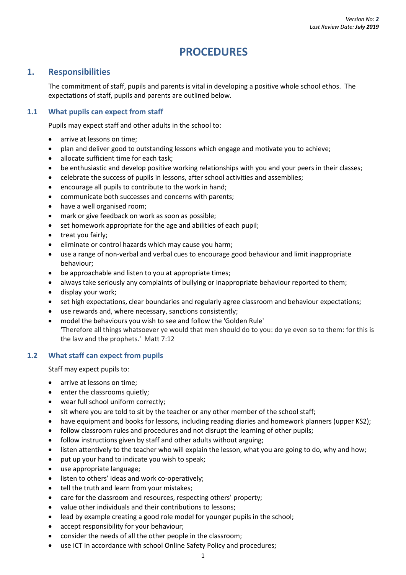## **PROCEDURES**

## <span id="page-8-1"></span><span id="page-8-0"></span>**1. Responsibilities**

The commitment of staff, pupils and parents is vital in developing a positive whole school ethos. The expectations of staff, pupils and parents are outlined below.

#### <span id="page-8-2"></span>**1.1 What pupils can expect from staff**

Pupils may expect staff and other adults in the school to:

- arrive at lessons on time:
- plan and deliver good to outstanding lessons which engage and motivate you to achieve;
- allocate sufficient time for each task;
- be enthusiastic and develop positive working relationships with you and your peers in their classes;
- celebrate the success of pupils in lessons, after school activities and assemblies;
- encourage all pupils to contribute to the work in hand;
- communicate both successes and concerns with parents;
- have a well organised room;
- mark or give feedback on work as soon as possible;
- set homework appropriate for the age and abilities of each pupil;
- treat you fairly;
- eliminate or control hazards which may cause you harm;
- use a range of non-verbal and verbal cues to encourage good behaviour and limit inappropriate behaviour;
- be approachable and listen to you at appropriate times;
- always take seriously any complaints of bullying or inappropriate behaviour reported to them;
- display your work;
- set high expectations, clear boundaries and regularly agree classroom and behaviour expectations;
- use rewards and, where necessary, sanctions consistently;
- model the behaviours you wish to see and follow the 'Golden Rule' 'Therefore all things whatsoever ye would that men should do to you: do ye even so to them: for this is the law and the prophets.' Matt 7:12

#### <span id="page-8-3"></span>**1.2 What staff can expect from pupils**

Staff may expect pupils to:

- arrive at lessons on time:
- enter the classrooms quietly;
- wear full school uniform correctly;
- sit where you are told to sit by the teacher or any other member of the school staff;
- have equipment and books for lessons, including reading diaries and homework planners (upper KS2);
- follow classroom rules and procedures and not disrupt the learning of other pupils;
- follow instructions given by staff and other adults without arguing;
- listen attentively to the teacher who will explain the lesson, what you are going to do, why and how;
- put up your hand to indicate you wish to speak;
- use appropriate language;
- **.** listen to others' ideas and work co-operatively;
- tell the truth and learn from your mistakes;
- care for the classroom and resources, respecting others' property;
- value other individuals and their contributions to lessons;
- lead by example creating a good role model for younger pupils in the school;
- accept responsibility for your behaviour;
- consider the needs of all the other people in the classroom;
- use ICT in accordance with school Online Safety Policy and procedures;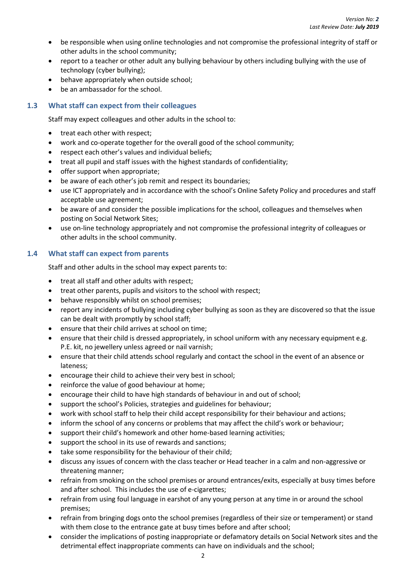- be responsible when using online technologies and not compromise the professional integrity of staff or other adults in the school community;
- report to a teacher or other adult any bullying behaviour by others including bullying with the use of technology (cyber bullying);
- behave appropriately when outside school;
- be an ambassador for the school.

#### <span id="page-9-0"></span>**1.3 What staff can expect from their colleagues**

Staff may expect colleagues and other adults in the school to:

- treat each other with respect;
- work and co-operate together for the overall good of the school community;
- respect each other's values and individual beliefs;
- treat all pupil and staff issues with the highest standards of confidentiality;
- offer support when appropriate;
- be aware of each other's job remit and respect its boundaries;
- use ICT appropriately and in accordance with the school's Online Safety Policy and procedures and staff acceptable use agreement;
- be aware of and consider the possible implications for the school, colleagues and themselves when posting on Social Network Sites;
- use on-line technology appropriately and not compromise the professional integrity of colleagues or other adults in the school community.

#### <span id="page-9-1"></span>**1.4 What staff can expect from parents**

Staff and other adults in the school may expect parents to:

- treat all staff and other adults with respect;
- treat other parents, pupils and visitors to the school with respect;
- behave responsibly whilst on school premises;
- report any incidents of bullying including cyber bullying as soon as they are discovered so that the issue can be dealt with promptly by school staff;
- ensure that their child arrives at school on time;
- ensure that their child is dressed appropriately, in school uniform with any necessary equipment e.g. P.E. kit, no jewellery unless agreed or nail varnish;
- ensure that their child attends school regularly and contact the school in the event of an absence or lateness;
- encourage their child to achieve their very best in school;
- reinforce the value of good behaviour at home;
- encourage their child to have high standards of behaviour in and out of school;
- support the school's Policies, strategies and guidelines for behaviour;
- work with school staff to help their child accept responsibility for their behaviour and actions;
- inform the school of any concerns or problems that may affect the child's work or behaviour;
- support their child's homework and other home-based learning activities;
- support the school in its use of rewards and sanctions;
- take some responsibility for the behaviour of their child;
- discuss any issues of concern with the class teacher or Head teacher in a calm and non-aggressive or threatening manner;
- refrain from smoking on the school premises or around entrances/exits, especially at busy times before and after school. This includes the use of e-cigarettes;
- refrain from using foul language in earshot of any young person at any time in or around the school premises;
- refrain from bringing dogs onto the school premises (regardless of their size or temperament) or stand with them close to the entrance gate at busy times before and after school;
- consider the implications of posting inappropriate or defamatory details on Social Network sites and the detrimental effect inappropriate comments can have on individuals and the school;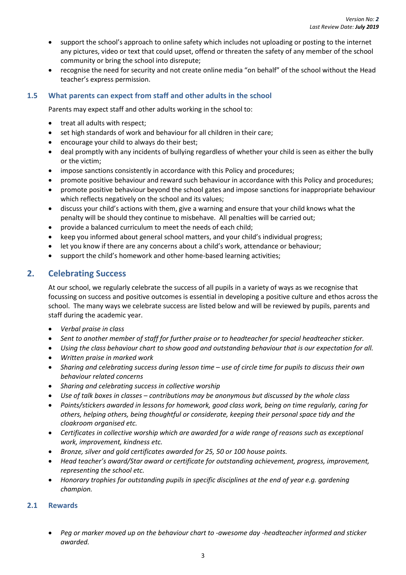- support the school's approach to online safety which includes not uploading or posting to the internet any pictures, video or text that could upset, offend or threaten the safety of any member of the school community or bring the school into disrepute;
- recognise the need for security and not create online media "on behalf" of the school without the Head teacher's express permission.

#### <span id="page-10-0"></span>**1.5 What parents can expect from staff and other adults in the school**

Parents may expect staff and other adults working in the school to:

- treat all adults with respect;
- set high standards of work and behaviour for all children in their care;
- encourage your child to always do their best;
- deal promptly with any incidents of bullying regardless of whether your child is seen as either the bully or the victim;
- impose sanctions consistently in accordance with this Policy and procedures;
- promote positive behaviour and reward such behaviour in accordance with this Policy and procedures;
- promote positive behaviour beyond the school gates and impose sanctions for inappropriate behaviour which reflects negatively on the school and its values;
- discuss your child's actions with them, give a warning and ensure that your child knows what the penalty will be should they continue to misbehave. All penalties will be carried out;
- provide a balanced curriculum to meet the needs of each child;
- keep you informed about general school matters, and your child's individual progress;
- let you know if there are any concerns about a child's work, attendance or behaviour;
- support the child's homework and other home-based learning activities;

### <span id="page-10-1"></span>**2. Celebrating Success**

At our school, we regularly celebrate the success of all pupils in a variety of ways as we recognise that focussing on success and positive outcomes is essential in developing a positive culture and ethos across the school. The many ways we celebrate success are listed below and will be reviewed by pupils, parents and staff during the academic year.

- *Verbal praise in class*
- *Sent to another member of staff for further praise or to headteacher for special headteacher sticker.*
- *Using the class behaviour chart to show good and outstanding behaviour that is our expectation for all.*
- *Written praise in marked work*
- *Sharing and celebrating success during lesson time – use of circle time for pupils to discuss their own behaviour related concerns*
- *Sharing and celebrating success in collective worship*
- *Use of talk boxes in classes – contributions may be anonymous but discussed by the whole class*
- *Points/stickers awarded in lessons for homework, good class work, being on time regularly, caring for others, helping others, being thoughtful or considerate, keeping their personal space tidy and the cloakroom organised etc.*
- *Certificates in collective worship which are awarded for a wide range of reasons such as exceptional work, improvement, kindness etc.*
- *Bronze, silver and gold certificates awarded for 25, 50 or 100 house points.*
- *Head teacher's award/Star award or certificate for outstanding achievement, progress, improvement, representing the school etc.*
- *Honorary trophies for outstanding pupils in specific disciplines at the end of year e.g. gardening champion.*

#### <span id="page-10-2"></span>**2.1 Rewards**

 *Peg or marker moved up on the behaviour chart to -awesome day -headteacher informed and sticker awarded.*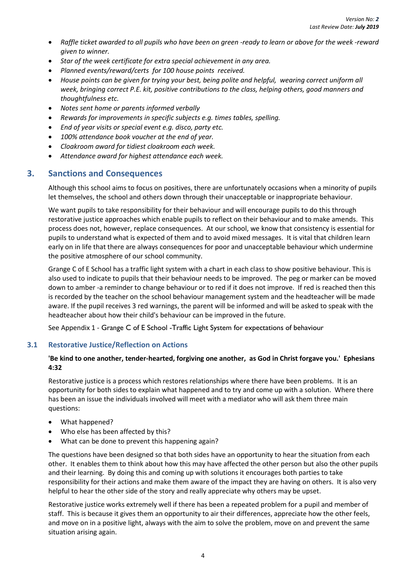- *Raffle ticket awarded to all pupils who have been on green -ready to learn or above for the week -reward given to winner.*
- *Star of the week certificate for extra special achievement in any area.*
- *Planned events/reward/certs for 100 house points received.*
- *House points can be given for trying your best, being polite and helpful, wearing correct uniform all week, bringing correct P.E. kit, positive contributions to the class, helping others, good manners and thoughtfulness etc.*
- *Notes sent home or parents informed verbally*
- *Rewards for improvements in specific subjects e.g. times tables, spelling.*
- *End of year visits or special event e.g. disco, party etc.*
- *100% attendance book voucher at the end of year.*
- *Cloakroom award for tidiest cloakroom each week.*
- *Attendance award for highest attendance each week.*

#### <span id="page-11-0"></span>**3. Sanctions and Consequences**

Although this school aims to focus on positives, there are unfortunately occasions when a minority of pupils let themselves, the school and others down through their unacceptable or inappropriate behaviour.

We want pupils to take responsibility for their behaviour and will encourage pupils to do this through restorative justice approaches which enable pupils to reflect on their behaviour and to make amends. This process does not, however, replace consequences. At our school, we know that consistency is essential for pupils to understand what is expected of them and to avoid mixed messages. It is vital that children learn early on in life that there are always consequences for poor and unacceptable behaviour which undermine the positive atmosphere of our school community.

Grange C of E School has a traffic light system with a chart in each class to show positive behaviour. This is also used to indicate to pupils that their behaviour needs to be improved. The peg or marker can be moved down to amber -a reminder to change behaviour or to red if it does not improve. If red is reached then this is recorded by the teacher on the school behaviour management system and the headteacher will be made aware. If the pupil receives 3 red warnings, the parent will be informed and will be asked to speak with the headteacher about how their child's behaviour can be improved in the future.

See Appendix 1 - Grange C of E School -Traffic Light System for expectations of behaviour

#### <span id="page-11-1"></span>**3.1 Restorative Justice/Reflection on Actions**

#### **'Be kind to one another, tender-hearted, forgiving one another, as God in Christ forgave you.' Ephesians 4:32**

Restorative justice is a process which restores relationships where there have been problems. It is an opportunity for both sides to explain what happened and to try and come up with a solution. Where there has been an issue the individuals involved will meet with a mediator who will ask them three main questions:

- What happened?
- Who else has been affected by this?
- What can be done to prevent this happening again?

The questions have been designed so that both sides have an opportunity to hear the situation from each other. It enables them to think about how this may have affected the other person but also the other pupils and their learning. By doing this and coming up with solutions it encourages both parties to take responsibility for their actions and make them aware of the impact they are having on others. It is also very helpful to hear the other side of the story and really appreciate why others may be upset.

Restorative justice works extremely well if there has been a repeated problem for a pupil and member of staff. This is because it gives them an opportunity to air their differences, appreciate how the other feels, and move on in a positive light, always with the aim to solve the problem, move on and prevent the same situation arising again.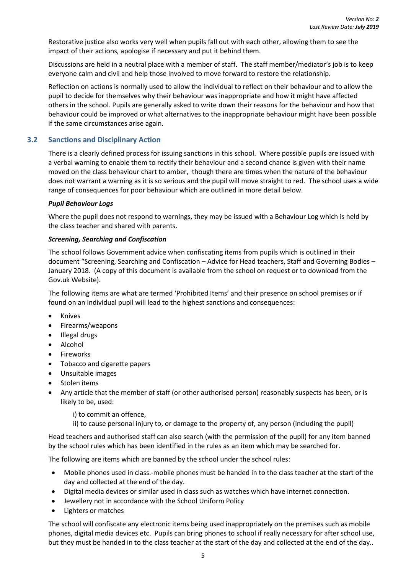Restorative justice also works very well when pupils fall out with each other, allowing them to see the impact of their actions, apologise if necessary and put it behind them.

Discussions are held in a neutral place with a member of staff. The staff member/mediator's job is to keep everyone calm and civil and help those involved to move forward to restore the relationship.

Reflection on actions is normally used to allow the individual to reflect on their behaviour and to allow the pupil to decide for themselves why their behaviour was inappropriate and how it might have affected others in the school. Pupils are generally asked to write down their reasons for the behaviour and how that behaviour could be improved or what alternatives to the inappropriate behaviour might have been possible if the same circumstances arise again.

#### <span id="page-12-0"></span>**3.2 Sanctions and Disciplinary Action**

There is a clearly defined process for issuing sanctions in this school. Where possible pupils are issued with a verbal warning to enable them to rectify their behaviour and a second chance is given with their name moved on the class behaviour chart to amber, though there are times when the nature of the behaviour does not warrant a warning as it is so serious and the pupil will move straight to red. The school uses a wide range of consequences for poor behaviour which are outlined in more detail below.

#### <span id="page-12-1"></span>*Pupil Behaviour Logs*

Where the pupil does not respond to warnings, they may be issued with a Behaviour Log which is held by the class teacher and shared with parents.

#### <span id="page-12-2"></span>*Screening, Searching and Confiscation*

The school follows Government advice when confiscating items from pupils which is outlined in their document "Screening, Searching and Confiscation – Advice for Head teachers, Staff and Governing Bodies – January 2018. (A copy of this document is available from the school on request or to download from the Gov.uk Website).

The following items are what are termed 'Prohibited Items' and their presence on school premises or if found on an individual pupil will lead to the highest sanctions and consequences:

- Knives
- Firearms/weapons
- Illegal drugs
- Alcohol
- Fireworks
- Tobacco and cigarette papers
- Unsuitable images
- Stolen items
- Any article that the member of staff (or other authorised person) reasonably suspects has been, or is likely to be, used:
	- i) to commit an offence,
	- ii) to cause personal injury to, or damage to the property of, any person (including the pupil)

Head teachers and authorised staff can also search (with the permission of the pupil) for any item banned by the school rules which has been identified in the rules as an item which may be searched for.

The following are items which are banned by the school under the school rules:

- Mobile phones used in class.-mobile phones must be handed in to the class teacher at the start of the day and collected at the end of the day.
- Digital media devices or similar used in class such as watches which have internet connection.
- Jewellery not in accordance with the School Uniform Policy
- Lighters or matches

The school will confiscate any electronic items being used inappropriately on the premises such as mobile phones, digital media devices etc. Pupils can bring phones to school if really necessary for after school use, but they must be handed in to the class teacher at the start of the day and collected at the end of the day..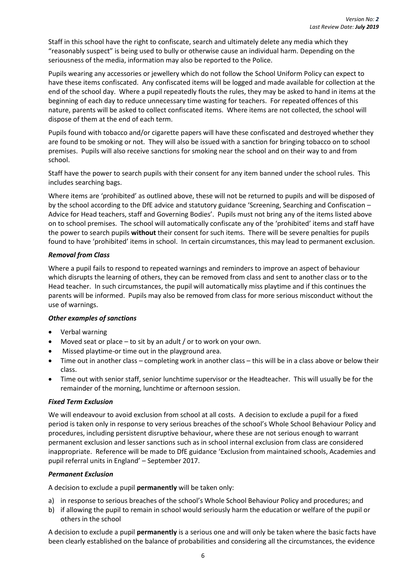Staff in this school have the right to confiscate, search and ultimately delete any media which they "reasonably suspect" is being used to bully or otherwise cause an individual harm. Depending on the seriousness of the media, information may also be reported to the Police.

Pupils wearing any accessories or jewellery which do not follow the School Uniform Policy can expect to have these items confiscated. Any confiscated items will be logged and made available for collection at the end of the school day. Where a pupil repeatedly flouts the rules, they may be asked to hand in items at the beginning of each day to reduce unnecessary time wasting for teachers. For repeated offences of this nature, parents will be asked to collect confiscated items. Where items are not collected, the school will dispose of them at the end of each term.

Pupils found with tobacco and/or cigarette papers will have these confiscated and destroyed whether they are found to be smoking or not. They will also be issued with a sanction for bringing tobacco on to school premises. Pupils will also receive sanctions for smoking near the school and on their way to and from school.

Staff have the power to search pupils with their consent for any item banned under the school rules. This includes searching bags.

Where items are 'prohibited' as outlined above, these will not be returned to pupils and will be disposed of by the school according to the DfE advice and statutory guidance 'Screening, Searching and Confiscation – Advice for Head teachers, staff and Governing Bodies'. Pupils must not bring any of the items listed above on to school premises. The school will automatically confiscate any of the 'prohibited' items and staff have the power to search pupils **without** their consent for such items. There will be severe penalties for pupils found to have 'prohibited' items in school. In certain circumstances, this may lead to permanent exclusion.

#### <span id="page-13-0"></span>*Removal from Class*

Where a pupil fails to respond to repeated warnings and reminders to improve an aspect of behaviour which disrupts the learning of others, they can be removed from class and sent to another class or to the Head teacher. In such circumstances, the pupil will automatically miss playtime and if this continues the parents will be informed. Pupils may also be removed from class for more serious misconduct without the use of warnings.

#### <span id="page-13-1"></span>*Other examples of sanctions*

- Verbal warning
- Moved seat or place to sit by an adult / or to work on your own.
- Missed playtime-or time out in the playground area.
- Time out in another class completing work in another class this will be in a class above or below their class.
- Time out with senior staff, senior lunchtime supervisor or the Headteacher. This will usually be for the remainder of the morning, lunchtime or afternoon session.

#### <span id="page-13-2"></span>*Fixed Term Exclusion*

We will endeavour to avoid exclusion from school at all costs. A decision to exclude a pupil for a fixed period is taken only in response to very serious breaches of the school's Whole School Behaviour Policy and procedures, including persistent disruptive behaviour, where these are not serious enough to warrant permanent exclusion and lesser sanctions such as in school internal exclusion from class are considered inappropriate. Reference will be made to DfE guidance 'Exclusion from maintained schools, Academies and pupil referral units in England' – September 2017.

#### <span id="page-13-3"></span>*Permanent Exclusion*

A decision to exclude a pupil **permanently** will be taken only:

- a) in response to serious breaches of the school's Whole School Behaviour Policy and procedures; and
- b) if allowing the pupil to remain in school would seriously harm the education or welfare of the pupil or others in the school

A decision to exclude a pupil **permanently** is a serious one and will only be taken where the basic facts have been clearly established on the balance of probabilities and considering all the circumstances, the evidence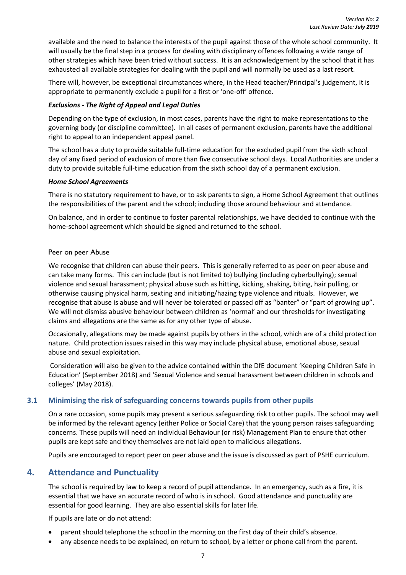available and the need to balance the interests of the pupil against those of the whole school community. It will usually be the final step in a process for dealing with disciplinary offences following a wide range of other strategies which have been tried without success. It is an acknowledgement by the school that it has exhausted all available strategies for dealing with the pupil and will normally be used as a last resort.

There will, however, be exceptional circumstances where, in the Head teacher/Principal's judgement, it is appropriate to permanently exclude a pupil for a first or 'one-off' offence.

#### <span id="page-14-0"></span>*Exclusions - The Right of Appeal and Legal Duties*

Depending on the type of exclusion, in most cases, parents have the right to make representations to the governing body (or discipline committee). In all cases of permanent exclusion, parents have the additional right to appeal to an independent appeal panel.

The school has a duty to provide suitable full-time education for the excluded pupil from the sixth school day of any fixed period of exclusion of more than five consecutive school days. Local Authorities are under a duty to provide suitable full-time education from the sixth school day of a permanent exclusion.

#### <span id="page-14-1"></span>*Home School Agreements*

There is no statutory requirement to have, or to ask parents to sign, a Home School Agreement that outlines the responsibilities of the parent and the school; including those around behaviour and attendance.

<span id="page-14-2"></span>On balance, and in order to continue to foster parental relationships, we have decided to continue with the home-school agreement which should be signed and returned to the school.

#### Peer on peer Abuse

We recognise that children can abuse their peers. This is generally referred to as peer on peer abuse and can take many forms. This can include (but is not limited to) bullying (including cyberbullying); sexual violence and sexual harassment; physical abuse such as hitting, kicking, shaking, biting, hair pulling, or otherwise causing physical harm, sexting and initiating/hazing type violence and rituals. However, we recognise that abuse is abuse and will never be tolerated or passed off as "banter" or "part of growing up". We will not dismiss abusive behaviour between children as 'normal' and our thresholds for investigating claims and allegations are the same as for any other type of abuse.

Occasionally, allegations may be made against pupils by others in the school, which are of a child protection nature. Child protection issues raised in this way may include physical abuse, emotional abuse, sexual abuse and sexual exploitation.

Consideration will also be given to the advice contained within the DfE document 'Keeping Children Safe in Education' (September 2018) and 'Sexual Violence and sexual harassment between children in schools and colleges' (May 2018).

#### <span id="page-14-3"></span>**3.1 Minimising the risk of safeguarding concerns towards pupils from other pupils**

On a rare occasion, some pupils may present a serious safeguarding risk to other pupils. The school may well be informed by the relevant agency (either Police or Social Care) that the young person raises safeguarding concerns. These pupils will need an individual Behaviour (or risk) Management Plan to ensure that other pupils are kept safe and they themselves are not laid open to malicious allegations.

Pupils are encouraged to report peer on peer abuse and the issue is discussed as part of PSHE curriculum.

#### <span id="page-14-4"></span>**4. Attendance and Punctuality**

The school is required by law to keep a record of pupil attendance. In an emergency, such as a fire, it is essential that we have an accurate record of who is in school. Good attendance and punctuality are essential for good learning. They are also essential skills for later life.

If pupils are late or do not attend:

- parent should telephone the school in the morning on the first day of their child's absence.
- any absence needs to be explained, on return to school, by a letter or phone call from the parent.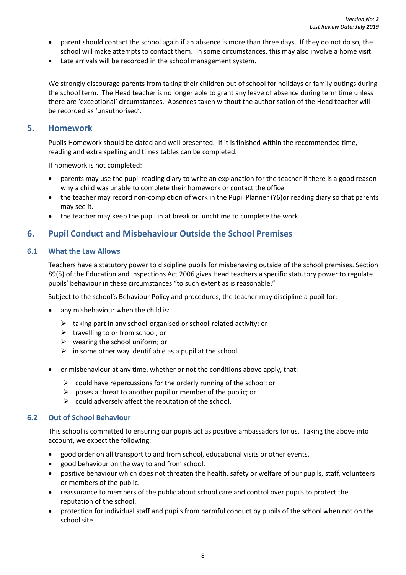- parent should contact the school again if an absence is more than three days. If they do not do so, the school will make attempts to contact them. In some circumstances, this may also involve a home visit.
- Late arrivals will be recorded in the school management system.

We strongly discourage parents from taking their children out of school for holidays or family outings during the school term. The Head teacher is no longer able to grant any leave of absence during term time unless there are 'exceptional' circumstances. Absences taken without the authorisation of the Head teacher will be recorded as 'unauthorised'.

#### <span id="page-15-0"></span>**5. Homework**

Pupils Homework should be dated and well presented. If it is finished within the recommended time, reading and extra spelling and times tables can be completed.

If homework is not completed:

- parents may use the pupil reading diary to write an explanation for the teacher if there is a good reason why a child was unable to complete their homework or contact the office.
- the teacher may record non-completion of work in the Pupil Planner (Y6)or reading diary so that parents may see it.
- the teacher may keep the pupil in at break or lunchtime to complete the work.

### <span id="page-15-1"></span>**6. Pupil Conduct and Misbehaviour Outside the School Premises**

#### <span id="page-15-2"></span>**6.1 What the Law Allows**

Teachers have a statutory power to discipline pupils for misbehaving outside of the school premises. Section 89(5) of the Education and Inspections Act 2006 gives Head teachers a specific statutory power to regulate pupils' behaviour in these circumstances "to such extent as is reasonable."

Subject to the school's Behaviour Policy and procedures, the teacher may discipline a pupil for:

- any misbehaviour when the child is:
	- $\triangleright$  taking part in any school-organised or school-related activity; or
	- $\triangleright$  travelling to or from school; or
	- $\triangleright$  wearing the school uniform; or
	- $\triangleright$  in some other way identifiable as a pupil at the school.
- or misbehaviour at any time, whether or not the conditions above apply, that:
	- $\triangleright$  could have repercussions for the orderly running of the school; or
	- $\triangleright$  poses a threat to another pupil or member of the public; or
	- $\triangleright$  could adversely affect the reputation of the school.

#### <span id="page-15-3"></span>**6.2 Out of School Behaviour**

This school is committed to ensuring our pupils act as positive ambassadors for us. Taking the above into account, we expect the following:

- good order on all transport to and from school, educational visits or other events.
- good behaviour on the way to and from school.
- positive behaviour which does not threaten the health, safety or welfare of our pupils, staff, volunteers or members of the public.
- reassurance to members of the public about school care and control over pupils to protect the reputation of the school.
- protection for individual staff and pupils from harmful conduct by pupils of the school when not on the school site.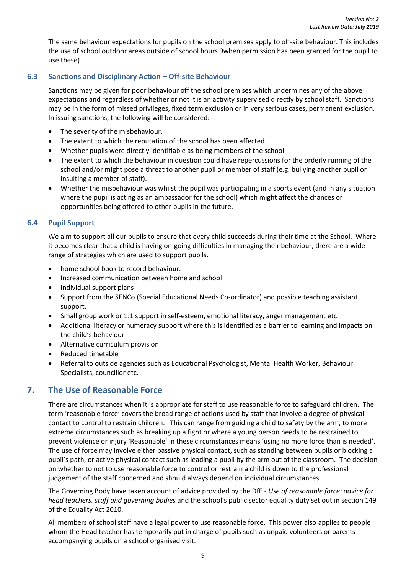The same behaviour expectations for pupils on the school premises apply to off-site behaviour. This includes the use of school outdoor areas outside of school hours 9when permission has been granted for the pupil to use these)

#### <span id="page-16-0"></span>**6.3 Sanctions and Disciplinary Action – Off-site Behaviour**

Sanctions may be given for poor behaviour off the school premises which undermines any of the above expectations and regardless of whether or not it is an activity supervised directly by school staff. Sanctions may be in the form of missed privileges, fixed term exclusion or in very serious cases, permanent exclusion. In issuing sanctions, the following will be considered:

- The severity of the misbehaviour.
- The extent to which the reputation of the school has been affected.
- Whether pupils were directly identifiable as being members of the school.
- The extent to which the behaviour in question could have repercussions for the orderly running of the school and/or might pose a threat to another pupil or member of staff (e.g. bullying another pupil or insulting a member of staff).
- Whether the misbehaviour was whilst the pupil was participating in a sports event (and in any situation where the pupil is acting as an ambassador for the school) which might affect the chances or opportunities being offered to other pupils in the future.

#### <span id="page-16-1"></span>**6.4 Pupil Support**

We aim to support all our pupils to ensure that every child succeeds during their time at the School. Where it becomes clear that a child is having on-going difficulties in managing their behaviour, there are a wide range of strategies which are used to support pupils.

- home school book to record behaviour.
- Increased communication between home and school
- Individual support plans
- Support from the SENCo (Special Educational Needs Co-ordinator) and possible teaching assistant support.
- Small group work or 1:1 support in self-esteem, emotional literacy, anger management etc.
- Additional literacy or numeracy support where this is identified as a barrier to learning and impacts on the child's behaviour
- Alternative curriculum provision
- Reduced timetable
- Referral to outside agencies such as Educational Psychologist, Mental Health Worker, Behaviour Specialists, councillor etc.

#### <span id="page-16-2"></span>**7. The Use of Reasonable Force**

There are circumstances when it is appropriate for staff to use reasonable force to safeguard children. The term 'reasonable force' covers the broad range of actions used by staff that involve a degree of physical contact to control to restrain children. This can range from guiding a child to safety by the arm, to more extreme circumstances such as breaking up a fight or where a young person needs to be restrained to prevent violence or injury 'Reasonable' in these circumstances means 'using no more force than is needed'. The use of force may involve either passive physical contact, such as standing between pupils or blocking a pupil's path, or active physical contact such as leading a pupil by the arm out of the classroom. The decision on whether to not to use reasonable force to control or restrain a child is down to the professional judgement of the staff concerned and should always depend on individual circumstances.

The Governing Body have taken account of advice provided by the DfE - *Use of reasonable force: advice for head teachers, staff and governing bodies* and the school's public sector equality duty set out in section 149 of the Equality Act 2010.

All members of school staff have a legal power to use reasonable force. This power also applies to people whom the Head teacher has temporarily put in charge of pupils such as unpaid volunteers or parents accompanying pupils on a school organised visit.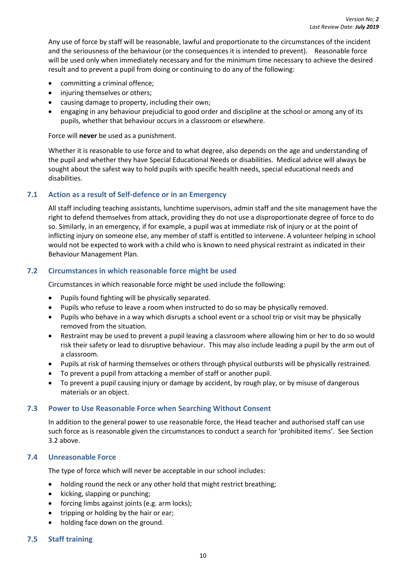Any use of force by staff will be reasonable, lawful and proportionate to the circumstances of the incident and the seriousness of the behaviour (or the consequences it is intended to prevent). Reasonable force will be used only when immediately necessary and for the minimum time necessary to achieve the desired result and to prevent a pupil from doing or continuing to do any of the following:

- committing a criminal offence;
- injuring themselves or others;
- causing damage to property, including their own;
- engaging in any behaviour prejudicial to good order and discipline at the school or among any of its pupils, whether that behaviour occurs in a classroom or elsewhere.

Force will **never** be used as a punishment.

Whether it is reasonable to use force and to what degree, also depends on the age and understanding of the pupil and whether they have Special Educational Needs or disabilities. Medical advice will always be sought about the safest way to hold pupils with specific health needs, special educational needs and disabilities.

#### <span id="page-17-0"></span>**7.1 Action as a result of Self-defence or in an Emergency**

All staff including teaching assistants, lunchtime supervisors, admin staff and the site management have the right to defend themselves from attack, providing they do not use a disproportionate degree of force to do so. Similarly, in an emergency, if for example, a pupil was at immediate risk of injury or at the point of inflicting injury on someone else, any member of staff is entitled to intervene. A volunteer helping in school would not be expected to work with a child who is known to need physical restraint as indicated in their Behaviour Management Plan.

#### <span id="page-17-1"></span>**7.2 Circumstances in which reasonable force might be used**

Circumstances in which reasonable force might be used include the following:

- Pupils found fighting will be physically separated.
- Pupils who refuse to leave a room when instructed to do so may be physically removed.
- Pupils who behave in a way which disrupts a school event or a school trip or visit may be physically removed from the situation.
- Restraint may be used to prevent a pupil leaving a classroom where allowing him or her to do so would risk their safety or lead to disruptive behaviour. This may also include leading a pupil by the arm out of a classroom.
- Pupils at risk of harming themselves or others through physical outbursts will be physically restrained.
- To prevent a pupil from attacking a member of staff or another pupil.
- To prevent a pupil causing injury or damage by accident, by rough play, or by misuse of dangerous materials or an object.

#### <span id="page-17-2"></span>**7.3 Power to Use Reasonable Force when Searching Without Consent**

In addition to the general power to use reasonable force, the Head teacher and authorised staff can use such force as is reasonable given the circumstances to conduct a search for 'prohibited items'. See Section 3.2 above.

#### <span id="page-17-3"></span>**7.4 Unreasonable Force**

The type of force which will never be acceptable in our school includes:

- holding round the neck or any other hold that might restrict breathing;
- kicking, slapping or punching;
- forcing limbs against joints (e.g. arm locks);
- tripping or holding by the hair or ear;
- holding face down on the ground.

#### <span id="page-17-4"></span>**7.5 Staff training**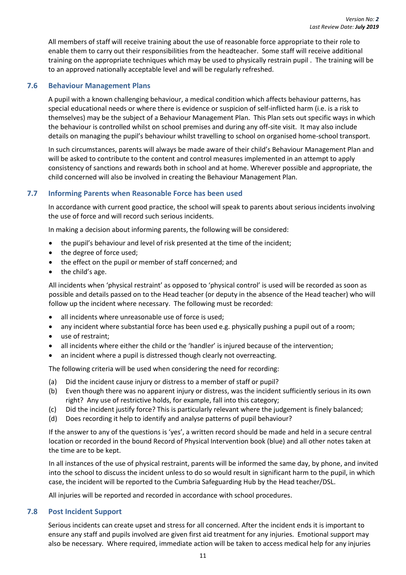All members of staff will receive training about the use of reasonable force appropriate to their role to enable them to carry out their responsibilities from the headteacher. Some staff will receive additional training on the appropriate techniques which may be used to physically restrain pupil . The training will be to an approved nationally acceptable level and will be regularly refreshed.

#### <span id="page-18-0"></span>**7.6 Behaviour Management Plans**

A pupil with a known challenging behaviour, a medical condition which affects behaviour patterns, has special educational needs or where there is evidence or suspicion of self-inflicted harm (i.e. is a risk to themselves) may be the subject of a Behaviour Management Plan. This Plan sets out specific ways in which the behaviour is controlled whilst on school premises and during any off-site visit. It may also include details on managing the pupil's behaviour whilst travelling to school on organised home-school transport.

In such circumstances, parents will always be made aware of their child's Behaviour Management Plan and will be asked to contribute to the content and control measures implemented in an attempt to apply consistency of sanctions and rewards both in school and at home. Wherever possible and appropriate, the child concerned will also be involved in creating the Behaviour Management Plan.

#### <span id="page-18-1"></span>**7.7 Informing Parents when Reasonable Force has been used**

In accordance with current good practice, the school will speak to parents about serious incidents involving the use of force and will record such serious incidents.

In making a decision about informing parents, the following will be considered:

- the pupil's behaviour and level of risk presented at the time of the incident;
- the degree of force used:
- the effect on the pupil or member of staff concerned; and
- $\bullet$  the child's age.

All incidents when 'physical restraint' as opposed to 'physical control' is used will be recorded as soon as possible and details passed on to the Head teacher (or deputy in the absence of the Head teacher) who will follow up the incident where necessary. The following must be recorded:

- all incidents where unreasonable use of force is used;
- any incident where substantial force has been used e.g. physically pushing a pupil out of a room;
- use of restraint;
- all incidents where either the child or the 'handler' is injured because of the intervention;
- an incident where a pupil is distressed though clearly not overreacting.

The following criteria will be used when considering the need for recording:

- (a) Did the incident cause injury or distress to a member of staff or pupil?
- (b) Even though there was no apparent injury or distress, was the incident sufficiently serious in its own right? Any use of restrictive holds, for example, fall into this category;
- (c) Did the incident justify force? This is particularly relevant where the judgement is finely balanced;
- (d) Does recording it help to identify and analyse patterns of pupil behaviour?

If the answer to any of the questions is 'yes', a written record should be made and held in a secure central location or recorded in the bound Record of Physical Intervention book (blue) and all other notes taken at the time are to be kept.

In all instances of the use of physical restraint, parents will be informed the same day, by phone, and invited into the school to discuss the incident unless to do so would result in significant harm to the pupil, in which case, the incident will be reported to the Cumbria Safeguarding Hub by the Head teacher/DSL.

All injuries will be reported and recorded in accordance with school procedures.

#### <span id="page-18-2"></span>**7.8 Post Incident Support**

Serious incidents can create upset and stress for all concerned. After the incident ends it is important to ensure any staff and pupils involved are given first aid treatment for any injuries. Emotional support may also be necessary. Where required, immediate action will be taken to access medical help for any injuries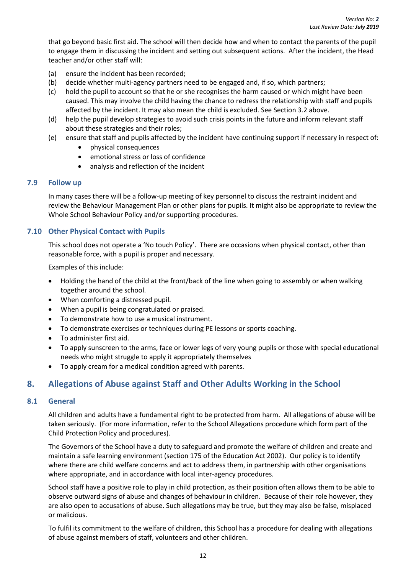that go beyond basic first aid. The school will then decide how and when to contact the parents of the pupil to engage them in discussing the incident and setting out subsequent actions. After the incident, the Head teacher and/or other staff will:

- (a) ensure the incident has been recorded;
- (b) decide whether multi-agency partners need to be engaged and, if so, which partners;
- (c) hold the pupil to account so that he or she recognises the harm caused or which might have been caused. This may involve the child having the chance to redress the relationship with staff and pupils affected by the incident. It may also mean the child is excluded. See Section 3.2 above.
- (d) help the pupil develop strategies to avoid such crisis points in the future and inform relevant staff about these strategies and their roles;
- (e) ensure that staff and pupils affected by the incident have continuing support if necessary in respect of:
	- physical consequences
	- emotional stress or loss of confidence
	- analysis and reflection of the incident

#### <span id="page-19-0"></span>**7.9 Follow up**

In many cases there will be a follow-up meeting of key personnel to discuss the restraint incident and review the Behaviour Management Plan or other plans for pupils. It might also be appropriate to review the Whole School Behaviour Policy and/or supporting procedures.

#### <span id="page-19-1"></span>**7.10 Other Physical Contact with Pupils**

This school does not operate a 'No touch Policy'. There are occasions when physical contact, other than reasonable force, with a pupil is proper and necessary.

Examples of this include:

- Holding the hand of the child at the front/back of the line when going to assembly or when walking together around the school.
- When comforting a distressed pupil.
- When a pupil is being congratulated or praised.
- To demonstrate how to use a musical instrument.
- To demonstrate exercises or techniques during PE lessons or sports coaching.
- To administer first aid.
- To apply sunscreen to the arms, face or lower legs of very young pupils or those with special educational needs who might struggle to apply it appropriately themselves
- To apply cream for a medical condition agreed with parents.

#### <span id="page-19-2"></span>**8. Allegations of Abuse against Staff and Other Adults Working in the School**

#### <span id="page-19-3"></span>**8.1 General**

All children and adults have a fundamental right to be protected from harm. All allegations of abuse will be taken seriously. (For more information, refer to the School Allegations procedure which form part of the Child Protection Policy and procedures).

The Governors of the School have a duty to safeguard and promote the welfare of children and create and maintain a safe learning environment (section 175 of the Education Act 2002). Our policy is to identify where there are child welfare concerns and act to address them, in partnership with other organisations where appropriate, and in accordance with local inter-agency procedures.

School staff have a positive role to play in child protection, as their position often allows them to be able to observe outward signs of abuse and changes of behaviour in children. Because of their role however, they are also open to accusations of abuse. Such allegations may be true, but they may also be false, misplaced or malicious.

To fulfil its commitment to the welfare of children, this School has a procedure for dealing with allegations of abuse against members of staff, volunteers and other children.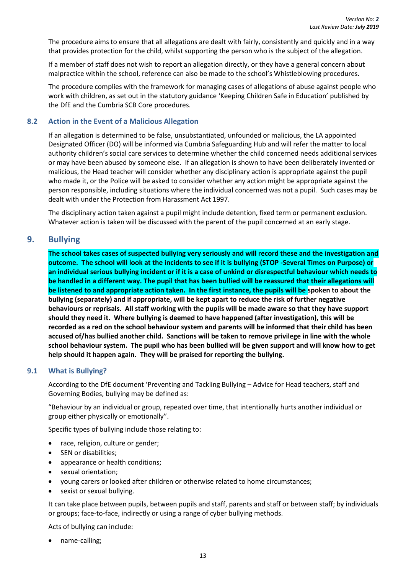The procedure aims to ensure that all allegations are dealt with fairly, consistently and quickly and in a way that provides protection for the child, whilst supporting the person who is the subject of the allegation.

If a member of staff does not wish to report an allegation directly, or they have a general concern about malpractice within the school, reference can also be made to the school's Whistleblowing procedures.

The procedure complies with the framework for managing cases of allegations of abuse against people who work with children, as set out in the statutory guidance 'Keeping Children Safe in Education' published by the DfE and the Cumbria SCB Core procedures.

#### <span id="page-20-0"></span>**8.2 Action in the Event of a Malicious Allegation**

If an allegation is determined to be false, unsubstantiated, unfounded or malicious, the LA appointed Designated Officer (DO) will be informed via Cumbria Safeguarding Hub and will refer the matter to local authority children's social care services to determine whether the child concerned needs additional services or may have been abused by someone else. If an allegation is shown to have been deliberately invented or malicious, the Head teacher will consider whether any disciplinary action is appropriate against the pupil who made it, or the Police will be asked to consider whether any action might be appropriate against the person responsible, including situations where the individual concerned was not a pupil. Such cases may be dealt with under the Protection from Harassment Act 1997.

The disciplinary action taken against a pupil might include detention, fixed term or permanent exclusion. Whatever action is taken will be discussed with the parent of the pupil concerned at an early stage.

#### <span id="page-20-1"></span>**9. Bullying**

**The school takes cases of suspected bullying very seriously and will record these and the investigation and outcome. The school will look at the incidents to see if it is bullying (STOP -Several Times on Purpose) or an individual serious bullying incident or if it is a case of unkind or disrespectful behaviour which needs to be handled in a different way. The pupil that has been bullied will be reassured that their allegations will be listened to and appropriate action taken. In the first instance, the pupils will be spoken to about the bullying (separately) and if appropriate, will be kept apart to reduce the risk of further negative behaviours or reprisals. All staff working with the pupils will be made aware so that they have support should they need it. Where bullying is deemed to have happened (after investigation), this will be recorded as a red on the school behaviour system and parents will be informed that their child has been accused of/has bullied another child. Sanctions will be taken to remove privilege in line with the whole school behaviour system. The pupil who has been bullied will be given support and will know how to get help should it happen again. They will be praised for reporting the bullying.**

#### <span id="page-20-2"></span>**9.1 What is Bullying?**

According to the DfE document 'Preventing and Tackling Bullying – Advice for Head teachers, staff and Governing Bodies, bullying may be defined as:

"Behaviour by an individual or group, repeated over time, that intentionally hurts another individual or group either physically or emotionally".

Specific types of bullying include those relating to:

- race, religion, culture or gender;
- SEN or disabilities;
- appearance or health conditions;
- sexual orientation;
- young carers or looked after children or otherwise related to home circumstances;
- sexist or sexual bullying.

It can take place between pupils, between pupils and staff, parents and staff or between staff; by individuals or groups; face-to-face, indirectly or using a range of cyber bullying methods.

Acts of bullying can include:

name-calling;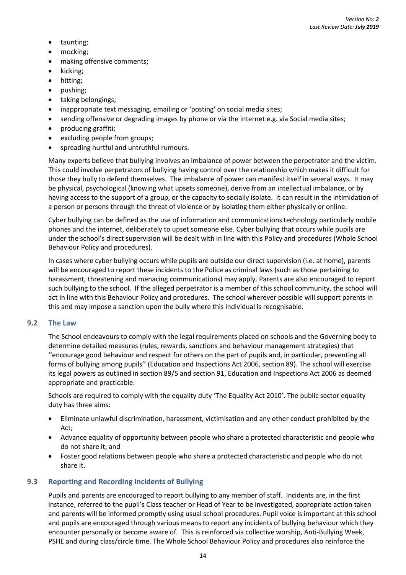- taunting;
- mocking;
- making offensive comments;
- kicking;
- hitting;
- pushing;
- taking belongings;
- inappropriate text messaging, emailing or 'posting' on social media sites;
- sending offensive or degrading images by phone or via the internet e.g. via Social media sites;
- producing graffiti;
- excluding people from groups;
- spreading hurtful and untruthful rumours.

Many experts believe that bullying involves an imbalance of power between the perpetrator and the victim. This could involve perpetrators of bullying having control over the relationship which makes it difficult for those they bully to defend themselves. The imbalance of power can manifest itself in several ways. It may be physical, psychological (knowing what upsets someone), derive from an intellectual imbalance, or by having access to the support of a group, or the capacity to socially isolate. It can result in the intimidation of a person or persons through the threat of violence or by isolating them either physically or online.

Cyber bullying can be defined as the use of information and communications technology particularly mobile phones and the internet, deliberately to upset someone else. Cyber bullying that occurs while pupils are under the school's direct supervision will be dealt with in line with this Policy and procedures (Whole School Behaviour Policy and procedures).

In cases where cyber bullying occurs while pupils are outside our direct supervision (i.e. at home), parents will be encouraged to report these incidents to the Police as criminal laws (such as those pertaining to harassment, threatening and menacing communications) may apply. Parents are also encouraged to report such bullying to the school. If the alleged perpetrator is a member of this school community, the school will act in line with this Behaviour Policy and procedures. The school wherever possible will support parents in this and may impose a sanction upon the bully where this individual is recognisable.

#### <span id="page-21-0"></span>**9.2 The Law**

The School endeavours to comply with the legal requirements placed on schools and the Governing body to determine detailed measures (rules, rewards, sanctions and behaviour management strategies) that ''encourage good behaviour and respect for others on the part of pupils and, in particular, preventing all forms of bullying among pupils'' (Education and Inspections Act 2006, section 89). The school will exercise its legal powers as outlined in section 89/5 and section 91, Education and Inspections Act 2006 as deemed appropriate and practicable.

Schools are required to comply with the equality duty 'The Equality Act 2010'. The public sector equality duty has three aims:

- Eliminate unlawful discrimination, harassment, victimisation and any other conduct prohibited by the Act;
- Advance equality of opportunity between people who share a protected characteristic and people who do not share it; and
- Foster good relations between people who share a protected characteristic and people who do not share it.

#### <span id="page-21-1"></span>**9.3 Reporting and Recording Incidents of Bullying**

Pupils and parents are encouraged to report bullying to any member of staff. Incidents are, in the first instance, referred to the pupil's Class teacher or Head of Year to be investigated, appropriate action taken and parents will be informed promptly using usual school procedures. Pupil voice is important at this school and pupils are encouraged through various means to report any incidents of bullying behaviour which they encounter personally or become aware of. This is reinforced via collective worship, Anti-Bullying Week, PSHE and during class/circle time. The Whole School Behaviour Policy and procedures also reinforce the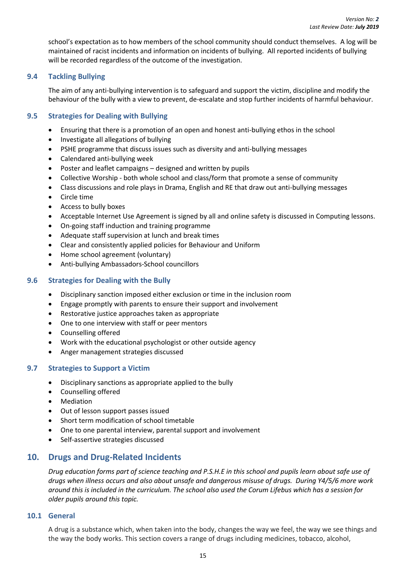school's expectation as to how members of the school community should conduct themselves. A log will be maintained of racist incidents and information on incidents of bullying. All reported incidents of bullying will be recorded regardless of the outcome of the investigation.

#### <span id="page-22-0"></span>**9.4 Tackling Bullying**

The aim of any anti-bullying intervention is to safeguard and support the victim, discipline and modify the behaviour of the bully with a view to prevent, de-escalate and stop further incidents of harmful behaviour.

#### <span id="page-22-1"></span>**9.5 Strategies for Dealing with Bullying**

- Ensuring that there is a promotion of an open and honest anti-bullying ethos in the school
- Investigate all allegations of bullying
- PSHE programme that discuss issues such as diversity and anti-bullying messages
- Calendared anti-bullying week
- Poster and leaflet campaigns designed and written by pupils
- Collective Worship both whole school and class/form that promote a sense of community
- Class discussions and role plays in Drama, English and RE that draw out anti-bullying messages
- Circle time
- Access to bully boxes
- Acceptable Internet Use Agreement is signed by all and online safety is discussed in Computing lessons.
- On-going staff induction and training programme
- Adequate staff supervision at lunch and break times
- Clear and consistently applied policies for Behaviour and Uniform
- Home school agreement (voluntary)
- Anti-bullying Ambassadors-School councillors

#### <span id="page-22-2"></span>**9.6 Strategies for Dealing with the Bully**

- Disciplinary sanction imposed either exclusion or time in the inclusion room
- Engage promptly with parents to ensure their support and involvement
- Restorative justice approaches taken as appropriate
- One to one interview with staff or peer mentors
- Counselling offered
- Work with the educational psychologist or other outside agency
- Anger management strategies discussed

#### <span id="page-22-3"></span>**9.7 Strategies to Support a Victim**

- Disciplinary sanctions as appropriate applied to the bully
- Counselling offered
- Mediation
- Out of lesson support passes issued
- Short term modification of school timetable
- One to one parental interview, parental support and involvement
- Self-assertive strategies discussed

#### <span id="page-22-4"></span>**10. Drugs and Drug-Related Incidents**

*Drug education forms part of science teaching and P.S.H.E in this school and pupils learn about safe use of drugs when illness occurs and also about unsafe and dangerous misuse of drugs. During Y4/5/6 more work around this is included in the curriculum. The school also used the Corum Lifebus which has a session for older pupils around this topic.*

#### <span id="page-22-5"></span>**10.1 General**

A drug is a substance which, when taken into the body, changes the way we feel, the way we see things and the way the body works. This section covers a range of drugs including medicines, tobacco, alcohol,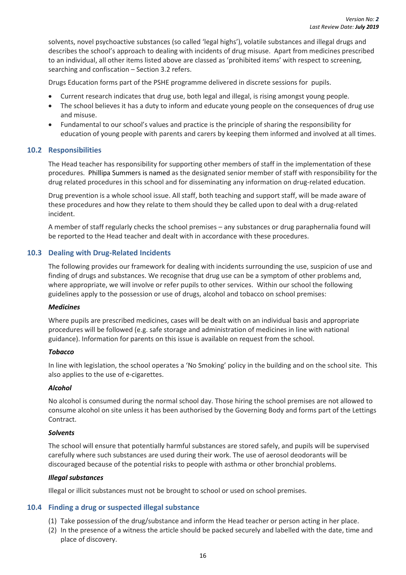solvents, novel psychoactive substances (so called 'legal highs'), volatile substances and illegal drugs and describes the school's approach to dealing with incidents of drug misuse. Apart from medicines prescribed to an individual, all other items listed above are classed as 'prohibited items' with respect to screening, searching and confiscation – Section 3.2 refers.

Drugs Education forms part of the PSHE programme delivered in discrete sessions for pupils.

- Current research indicates that drug use, both legal and illegal, is rising amongst young people.
- The school believes it has a duty to inform and educate young people on the consequences of drug use and misuse.
- Fundamental to our school's values and practice is the principle of sharing the responsibility for education of young people with parents and carers by keeping them informed and involved at all times.

#### <span id="page-23-0"></span>**10.2 Responsibilities**

The Head teacher has responsibility for supporting other members of staff in the implementation of these procedures. Phillipa Summers is named as the designated senior member of staff with responsibility for the drug related procedures in this school and for disseminating any information on drug-related education.

Drug prevention is a whole school issue. All staff, both teaching and support staff, will be made aware of these procedures and how they relate to them should they be called upon to deal with a drug-related incident.

A member of staff regularly checks the school premises – any substances or drug paraphernalia found will be reported to the Head teacher and dealt with in accordance with these procedures.

#### <span id="page-23-1"></span>**10.3 Dealing with Drug-Related Incidents**

The following provides our framework for dealing with incidents surrounding the use, suspicion of use and finding of drugs and substances. We recognise that drug use can be a symptom of other problems and, where appropriate, we will involve or refer pupils to other services. Within our school the following guidelines apply to the possession or use of drugs, alcohol and tobacco on school premises:

#### <span id="page-23-2"></span>*Medicines*

Where pupils are prescribed medicines, cases will be dealt with on an individual basis and appropriate procedures will be followed (e.g. safe storage and administration of medicines in line with national guidance). Information for parents on this issue is available on request from the school.

#### <span id="page-23-3"></span>*Tobacco*

In line with legislation, the school operates a 'No Smoking' policy in the building and on the school site. This also applies to the use of e-cigarettes.

#### <span id="page-23-4"></span>*Alcohol*

No alcohol is consumed during the normal school day. Those hiring the school premises are not allowed to consume alcohol on site unless it has been authorised by the Governing Body and forms part of the Lettings Contract.

#### <span id="page-23-5"></span>*Solvents*

The school will ensure that potentially harmful substances are stored safely, and pupils will be supervised carefully where such substances are used during their work. The use of aerosol deodorants will be discouraged because of the potential risks to people with asthma or other bronchial problems.

#### <span id="page-23-6"></span>*Illegal substances*

Illegal or illicit substances must not be brought to school or used on school premises.

#### <span id="page-23-7"></span>**10.4 Finding a drug or suspected illegal substance**

- (1) Take possession of the drug/substance and inform the Head teacher or person acting in her place.
- (2) In the presence of a witness the article should be packed securely and labelled with the date, time and place of discovery.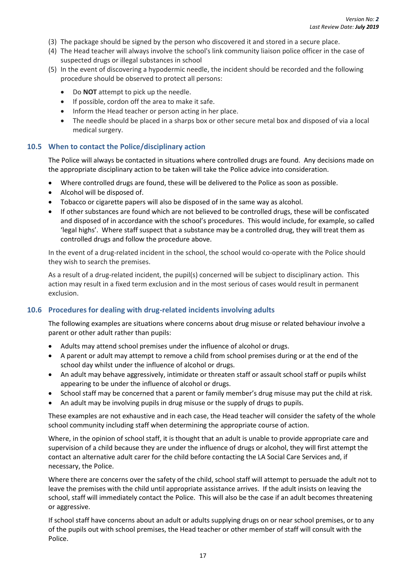- (3) The package should be signed by the person who discovered it and stored in a secure place.
- (4) The Head teacher will always involve the school's link community liaison police officer in the case of suspected drugs or illegal substances in school
- (5) In the event of discovering a hypodermic needle, the incident should be recorded and the following procedure should be observed to protect all persons:
	- Do **NOT** attempt to pick up the needle.
	- If possible, cordon off the area to make it safe.
	- Inform the Head teacher or person acting in her place.
	- The needle should be placed in a sharps box or other secure metal box and disposed of via a local medical surgery.

#### <span id="page-24-0"></span>**10.5 When to contact the Police/disciplinary action**

The Police will always be contacted in situations where controlled drugs are found. Any decisions made on the appropriate disciplinary action to be taken will take the Police advice into consideration.

- Where controlled drugs are found, these will be delivered to the Police as soon as possible.
- Alcohol will be disposed of.
- Tobacco or cigarette papers will also be disposed of in the same way as alcohol.
- If other substances are found which are not believed to be controlled drugs, these will be confiscated and disposed of in accordance with the school's procedures. This would include, for example, so called 'legal highs'. Where staff suspect that a substance may be a controlled drug, they will treat them as controlled drugs and follow the procedure above.

In the event of a drug-related incident in the school, the school would co-operate with the Police should they wish to search the premises.

As a result of a drug-related incident, the pupil(s) concerned will be subject to disciplinary action. This action may result in a fixed term exclusion and in the most serious of cases would result in permanent exclusion.

#### <span id="page-24-1"></span>**10.6 Procedures for dealing with drug-related incidents involving adults**

The following examples are situations where concerns about drug misuse or related behaviour involve a parent or other adult rather than pupils:

- Adults may attend school premises under the influence of alcohol or drugs.
- A parent or adult may attempt to remove a child from school premises during or at the end of the school day whilst under the influence of alcohol or drugs.
- An adult may behave aggressively, intimidate or threaten staff or assault school staff or pupils whilst appearing to be under the influence of alcohol or drugs.
- School staff may be concerned that a parent or family member's drug misuse may put the child at risk.
- An adult may be involving pupils in drug misuse or the supply of drugs to pupils.

These examples are not exhaustive and in each case, the Head teacher will consider the safety of the whole school community including staff when determining the appropriate course of action.

Where, in the opinion of school staff, it is thought that an adult is unable to provide appropriate care and supervision of a child because they are under the influence of drugs or alcohol, they will first attempt the contact an alternative adult carer for the child before contacting the LA Social Care Services and, if necessary, the Police.

Where there are concerns over the safety of the child, school staff will attempt to persuade the adult not to leave the premises with the child until appropriate assistance arrives. If the adult insists on leaving the school, staff will immediately contact the Police. This will also be the case if an adult becomes threatening or aggressive.

If school staff have concerns about an adult or adults supplying drugs on or near school premises, or to any of the pupils out with school premises, the Head teacher or other member of staff will consult with the Police.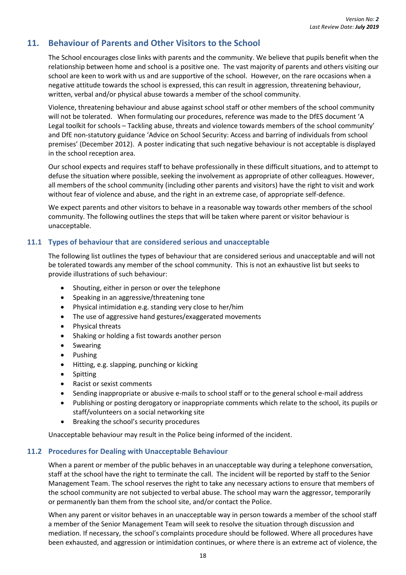### <span id="page-25-0"></span>**11. Behaviour of Parents and Other Visitors to the School**

The School encourages close links with parents and the community. We believe that pupils benefit when the relationship between home and school is a positive one. The vast majority of parents and others visiting our school are keen to work with us and are supportive of the school. However, on the rare occasions when a negative attitude towards the school is expressed, this can result in aggression, threatening behaviour, written, verbal and/or physical abuse towards a member of the school community.

Violence, threatening behaviour and abuse against school staff or other members of the school community will not be tolerated. When formulating our procedures, reference was made to the DfES document 'A Legal toolkit for schools – Tackling abuse, threats and violence towards members of the school community' and DfE non-statutory guidance 'Advice on School Security: Access and barring of individuals from school premises' (December 2012). A poster indicating that such negative behaviour is not acceptable is displayed in the school reception area.

Our school expects and requires staff to behave professionally in these difficult situations, and to attempt to defuse the situation where possible, seeking the involvement as appropriate of other colleagues. However, all members of the school community (including other parents and visitors) have the right to visit and work without fear of violence and abuse, and the right in an extreme case, of appropriate self-defence.

We expect parents and other visitors to behave in a reasonable way towards other members of the school community. The following outlines the steps that will be taken where parent or visitor behaviour is unacceptable.

#### <span id="page-25-1"></span>**11.1 Types of behaviour that are considered serious and unacceptable**

The following list outlines the types of behaviour that are considered serious and unacceptable and will not be tolerated towards any member of the school community. This is not an exhaustive list but seeks to provide illustrations of such behaviour:

- Shouting, either in person or over the telephone
- Speaking in an aggressive/threatening tone
- Physical intimidation e.g. standing very close to her/him
- The use of aggressive hand gestures/exaggerated movements
- Physical threats
- Shaking or holding a fist towards another person
- Swearing
- Pushing
- Hitting, e.g. slapping, punching or kicking
- Spitting
- Racist or sexist comments
- Sending inappropriate or abusive e-mails to school staff or to the general school e-mail address
- Publishing or posting derogatory or inappropriate comments which relate to the school, its pupils or staff/volunteers on a social networking site
- Breaking the school's security procedures

Unacceptable behaviour may result in the Police being informed of the incident.

#### <span id="page-25-2"></span>**11.2 Procedures for Dealing with Unacceptable Behaviour**

When a parent or member of the public behaves in an unacceptable way during a telephone conversation, staff at the school have the right to terminate the call. The incident will be reported by staff to the Senior Management Team. The school reserves the right to take any necessary actions to ensure that members of the school community are not subjected to verbal abuse. The school may warn the aggressor, temporarily or permanently ban them from the school site, and/or contact the Police.

When any parent or visitor behaves in an unacceptable way in person towards a member of the school staff a member of the Senior Management Team will seek to resolve the situation through discussion and mediation. If necessary, the school's complaints procedure should be followed. Where all procedures have been exhausted, and aggression or intimidation continues, or where there is an extreme act of violence, the